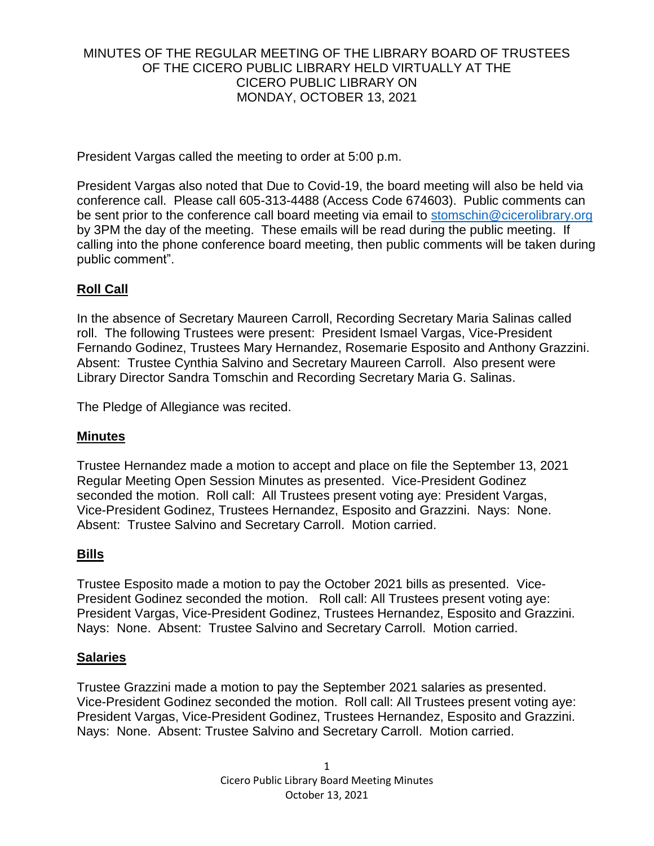## MINUTES OF THE REGULAR MEETING OF THE LIBRARY BOARD OF TRUSTEES OF THE CICERO PUBLIC LIBRARY HELD VIRTUALLY AT THE CICERO PUBLIC LIBRARY ON MONDAY, OCTOBER 13, 2021

President Vargas called the meeting to order at 5:00 p.m.

President Vargas also noted that Due to Covid-19, the board meeting will also be held via conference call. Please call 605-313-4488 (Access Code 674603). Public comments can be sent prior to the conference call board meeting via email to [stomschin@cicerolibrary.org](mailto:stomschin@cicerolibrary.org) by 3PM the day of the meeting. These emails will be read during the public meeting. If calling into the phone conference board meeting, then public comments will be taken during public comment".

# **Roll Call**

In the absence of Secretary Maureen Carroll, Recording Secretary Maria Salinas called roll. The following Trustees were present: President Ismael Vargas, Vice-President Fernando Godinez, Trustees Mary Hernandez, Rosemarie Esposito and Anthony Grazzini. Absent: Trustee Cynthia Salvino and Secretary Maureen Carroll. Also present were Library Director Sandra Tomschin and Recording Secretary Maria G. Salinas.

The Pledge of Allegiance was recited.

## **Minutes**

Trustee Hernandez made a motion to accept and place on file the September 13, 2021 Regular Meeting Open Session Minutes as presented. Vice-President Godinez seconded the motion. Roll call: All Trustees present voting aye: President Vargas, Vice-President Godinez, Trustees Hernandez, Esposito and Grazzini. Nays: None. Absent: Trustee Salvino and Secretary Carroll. Motion carried.

## **Bills**

Trustee Esposito made a motion to pay the October 2021 bills as presented. Vice-President Godinez seconded the motion. Roll call: All Trustees present voting aye: President Vargas, Vice-President Godinez, Trustees Hernandez, Esposito and Grazzini. Nays: None. Absent: Trustee Salvino and Secretary Carroll. Motion carried.

## **Salaries**

Trustee Grazzini made a motion to pay the September 2021 salaries as presented. Vice-President Godinez seconded the motion. Roll call: All Trustees present voting aye: President Vargas, Vice-President Godinez, Trustees Hernandez, Esposito and Grazzini. Nays: None. Absent: Trustee Salvino and Secretary Carroll. Motion carried.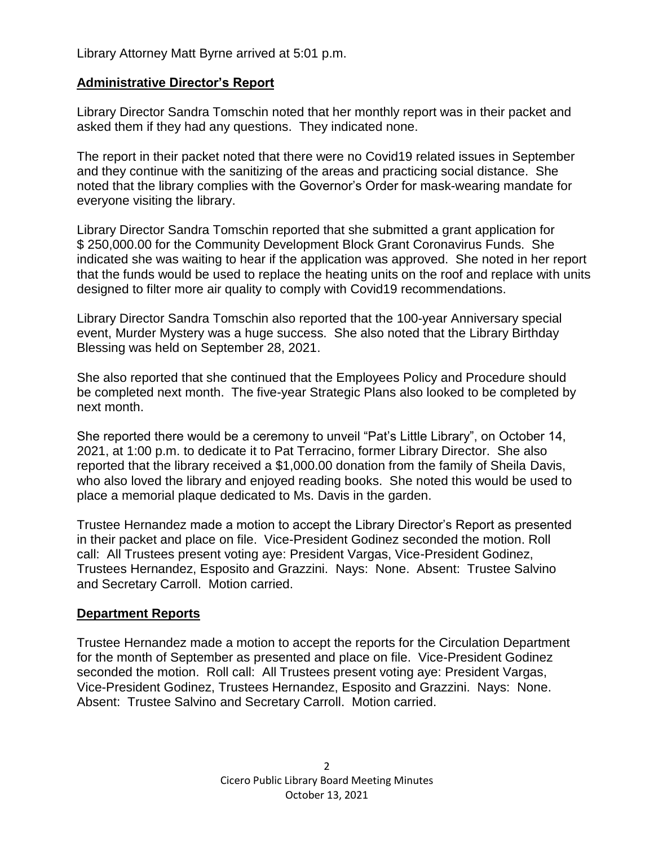Library Attorney Matt Byrne arrived at 5:01 p.m.

## **Administrative Director's Report**

Library Director Sandra Tomschin noted that her monthly report was in their packet and asked them if they had any questions. They indicated none.

The report in their packet noted that there were no Covid19 related issues in September and they continue with the sanitizing of the areas and practicing social distance. She noted that the library complies with the Governor's Order for mask-wearing mandate for everyone visiting the library.

Library Director Sandra Tomschin reported that she submitted a grant application for \$ 250,000.00 for the Community Development Block Grant Coronavirus Funds. She indicated she was waiting to hear if the application was approved. She noted in her report that the funds would be used to replace the heating units on the roof and replace with units designed to filter more air quality to comply with Covid19 recommendations.

Library Director Sandra Tomschin also reported that the 100-year Anniversary special event, Murder Mystery was a huge success. She also noted that the Library Birthday Blessing was held on September 28, 2021.

She also reported that she continued that the Employees Policy and Procedure should be completed next month. The five-year Strategic Plans also looked to be completed by next month.

She reported there would be a ceremony to unveil "Pat's Little Library", on October 14, 2021, at 1:00 p.m. to dedicate it to Pat Terracino, former Library Director. She also reported that the library received a \$1,000.00 donation from the family of Sheila Davis, who also loved the library and enjoyed reading books. She noted this would be used to place a memorial plaque dedicated to Ms. Davis in the garden.

Trustee Hernandez made a motion to accept the Library Director's Report as presented in their packet and place on file. Vice-President Godinez seconded the motion. Roll call: All Trustees present voting aye: President Vargas, Vice-President Godinez, Trustees Hernandez, Esposito and Grazzini. Nays: None. Absent: Trustee Salvino and Secretary Carroll. Motion carried.

## **Department Reports**

Trustee Hernandez made a motion to accept the reports for the Circulation Department for the month of September as presented and place on file. Vice-President Godinez seconded the motion. Roll call: All Trustees present voting aye: President Vargas, Vice-President Godinez, Trustees Hernandez, Esposito and Grazzini. Nays: None. Absent: Trustee Salvino and Secretary Carroll. Motion carried.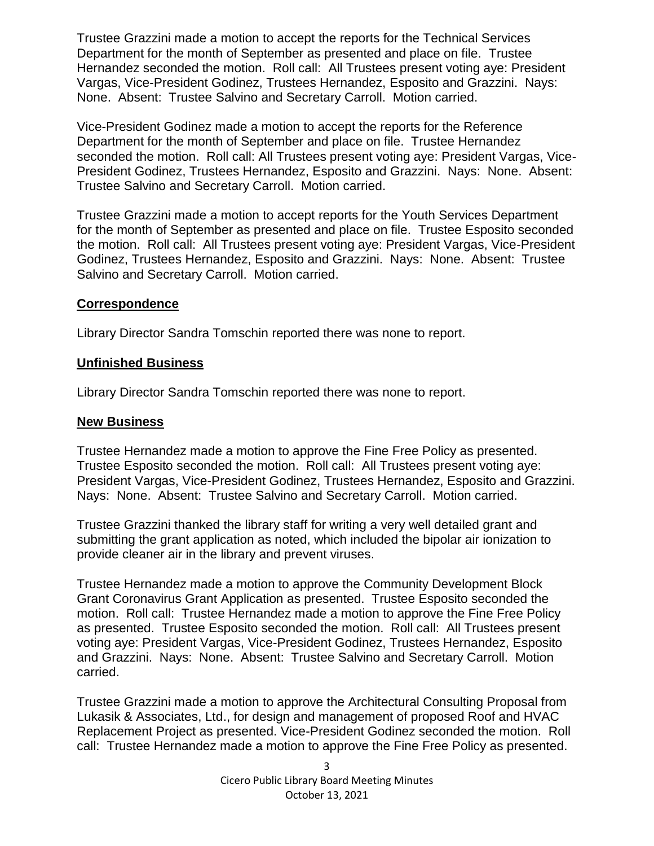Trustee Grazzini made a motion to accept the reports for the Technical Services Department for the month of September as presented and place on file. Trustee Hernandez seconded the motion. Roll call: All Trustees present voting aye: President Vargas, Vice-President Godinez, Trustees Hernandez, Esposito and Grazzini. Nays: None. Absent: Trustee Salvino and Secretary Carroll. Motion carried.

Vice-President Godinez made a motion to accept the reports for the Reference Department for the month of September and place on file. Trustee Hernandez seconded the motion. Roll call: All Trustees present voting aye: President Vargas, Vice-President Godinez, Trustees Hernandez, Esposito and Grazzini. Nays: None. Absent: Trustee Salvino and Secretary Carroll. Motion carried.

Trustee Grazzini made a motion to accept reports for the Youth Services Department for the month of September as presented and place on file. Trustee Esposito seconded the motion. Roll call: All Trustees present voting aye: President Vargas, Vice-President Godinez, Trustees Hernandez, Esposito and Grazzini. Nays: None. Absent: Trustee Salvino and Secretary Carroll. Motion carried.

#### **Correspondence**

Library Director Sandra Tomschin reported there was none to report.

#### **Unfinished Business**

Library Director Sandra Tomschin reported there was none to report.

#### **New Business**

Trustee Hernandez made a motion to approve the Fine Free Policy as presented. Trustee Esposito seconded the motion. Roll call: All Trustees present voting aye: President Vargas, Vice-President Godinez, Trustees Hernandez, Esposito and Grazzini. Nays: None. Absent: Trustee Salvino and Secretary Carroll. Motion carried.

Trustee Grazzini thanked the library staff for writing a very well detailed grant and submitting the grant application as noted, which included the bipolar air ionization to provide cleaner air in the library and prevent viruses.

Trustee Hernandez made a motion to approve the Community Development Block Grant Coronavirus Grant Application as presented. Trustee Esposito seconded the motion. Roll call: Trustee Hernandez made a motion to approve the Fine Free Policy as presented. Trustee Esposito seconded the motion. Roll call: All Trustees present voting aye: President Vargas, Vice-President Godinez, Trustees Hernandez, Esposito and Grazzini. Nays: None. Absent: Trustee Salvino and Secretary Carroll. Motion carried.

Trustee Grazzini made a motion to approve the Architectural Consulting Proposal from Lukasik & Associates, Ltd., for design and management of proposed Roof and HVAC Replacement Project as presented. Vice-President Godinez seconded the motion. Roll call: Trustee Hernandez made a motion to approve the Fine Free Policy as presented.